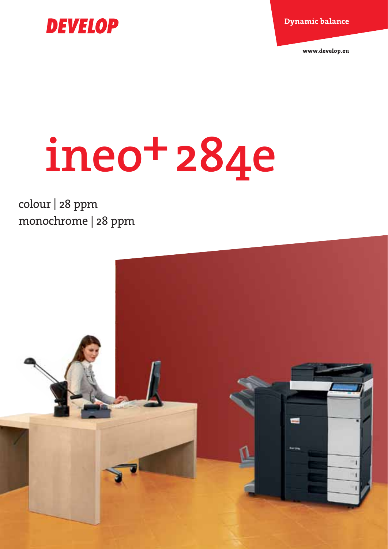**Dynamic balance** 



# **ineo+284e**

colour | 28 ppm monochrome | 28 ppm

**DEVELOP** 

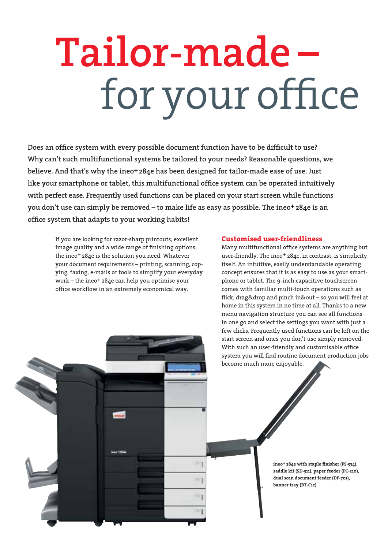# **Tailor-made –**  for your office

**Does an office system with every possible document function have to be difficult to use? Why can't such multifunctional systems be tailored to your needs? Reasonable questions, we believe. And that's why the ineo+284e has been designed for tailor-made ease of use. Just like your smartphone or tablet, this multifunctional office system can be operated intuitively with perfect ease. Frequently used functions can be placed on your start screen while functions you don't use can simply be removed – to make life as easy as possible. The ineo+284e is an office system that adapts to your working habits!**

1973

If you are looking for razor-sharp printouts, excellent image quality and a wide range of finishing options, the ineo+ 284e is the solution you need. Whatever your document requirements – printing, scanning, copying, faxing, e-mails or tools to simplify your everyday work – the ineo+ 284e can help you optimise your office workflow in an extremely economical way.

#### **Customised user-friendliness**

Many multifunctional office systems are anything but user-friendly. The ineo+ 284e, in contrast, is simplicity itself. An intuitive, easily understandable operating concept ensures that it is as easy to use as your smartphone or tablet. The 9-inch capacitive touchscreen comes with familiar multi-touch operations such as flick, drag&drop and pinch in&out – so you will feel at home in this system in no time at all. Thanks to a new menu navigation structure you can see all functions in one go and select the settings you want with just a few clicks. Frequently used functions can be left on the start screen and ones you don't use simply removed. With such an user-friendly and customisable office system you will find routine document production jobs become much more enjoyable.

> **ineo+ 284e with staple finisher (FS-534), saddle kit (SD-511), paper feeder (PC-210), dual scan document feeder (DF-701), banner tray (BT-C1e)**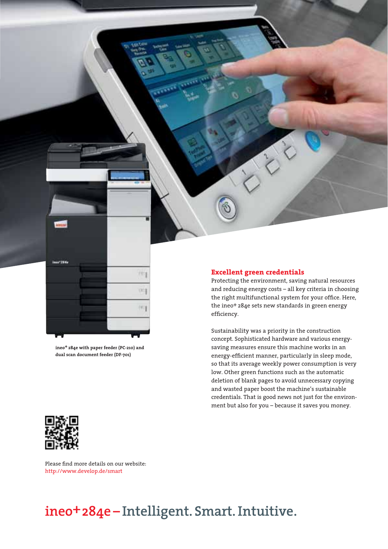

**ineo+ 284e with paper feeder (PC-210) and dual scan document feeder (DF-701)**

#### **Excellent green credentials**

Protecting the environment, saving natural resources and reducing energy costs – all key criteria in choosing the right multifunctional system for your office. Here, the ineo+ 284e sets new standards in green energy efficiency.

Sustainability was a priority in the construction concept. Sophisticated hardware and various energysaving measures ensure this machine works in an energy-efficient manner, particularly in sleep mode, so that its average weekly power consumption is very low. Other green functions such as the automatic deletion of blank pages to avoid unnecessary copying and wasted paper boost the machine's sustainable credentials. That is good news not just for the environment but also for you – because it saves you money.



Please find more details on our website: http://www.develop.de/smart

## **ineo+284e – Intelligent. Smart. Intuitive.**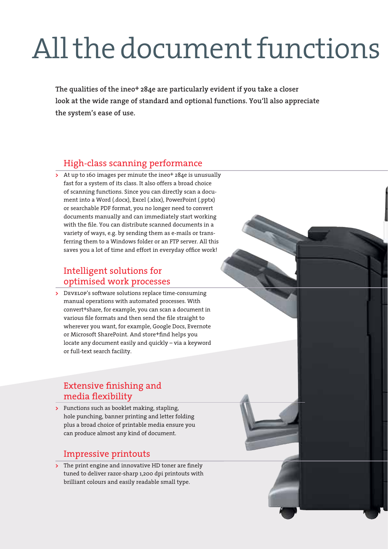## All the document functions

**The qualities of the ineo+ 284e are particularly evident if you take a closer look at the wide range of standard and optional functions. You'll also appreciate the system's ease of use.**

## High-class scanning performance

**>** At up to 160 images per minute the ineo<sup>+</sup> 284e is unusually fast for a system of its class. It also offers a broad choice of scanning functions. Since you can directly scan a document into a Word (.docx), Excel (.xlsx), PowerPoint (.pptx) or searchable PDF format, you no longer need to convert documents manually and can immediately start working with the file. You can distribute scanned documents in a variety of ways, e.g. by sending them as e-mails or transferring them to a Windows folder or an FTP server. All this saves you a lot of time and effort in everyday office work!

## Intelligent solutions for optimised work processes

**>** Develop's software solutions replace time-consuming manual operations with automated processes. With convert+share, for example, you can scan a document in various file formats and then send the file straight to wherever you want, for example, Google Docs, Evernote or Microsoft SharePoint. And store+find helps you locate any document easily and quickly – via a keyword or full-text search facility.

## Extensive finishing and media flexibility

**>** Functions such as booklet making, stapling, hole punching, banner printing and letter folding plus a broad choice of printable media ensure you can produce almost any kind of document.

## Impressive printouts

**>** The print engine and innovative HD toner are finely tuned to deliver razor-sharp 1,200 dpi printouts with brilliant colours and easily readable small type.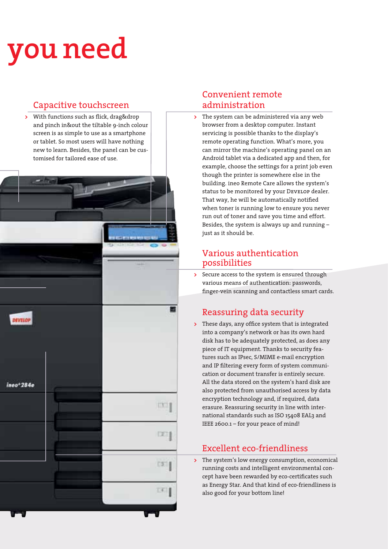## **you need**

DEVELOP

 $ineo+284e$ 

## Capacitive touchscreen

**>** With functions such as flick, drag&drop and pinch in&out the tiltable 9-inch colour screen is as simple to use as a smartphone or tablet. So most users will have nothing new to learn. Besides, the panel can be customised for tailored ease of use.

## Convenient remote administration

**>** The system can be administered via any web browser from a desktop computer. Instant servicing is possible thanks to the display's remote operating function. What's more, you can mirror the machine's operating panel on an Android tablet via a dedicated app and then, for example, choose the settings for a print job even though the printer is somewhere else in the building. ineo Remote Care allows the system's status to be monitored by your Develop dealer. That way, he will be automatically notified when toner is running low to ensure you never run out of toner and save you time and effort. Besides, the system is always up and running – just as it should be.

### Various authentication possibilities

**>** Secure access to the system is ensured through various means of authentication: passwords, finger-vein scanning and contactless smart cards.

## Reassuring data security

**>** These days, any office system that is integrated into a company's network or has its own hard disk has to be adequately protected, as does any piece of IT equipment. Thanks to security features such as IPsec, S/MIME e-mail encryption and IP filtering every form of system communication or document transfer is entirely secure. All the data stored on the system's hard disk are also protected from unauthorised access by data encryption technology and, if required, data erasure. Reassuring security in line with international standards such as ISO 15408 EAL3 and IEEE 2600.1 – for your peace of mind!

## Excellent eco-friendliness

**>** The system's low energy consumption, economical running costs and intelligent environmental concept have been rewarded by eco-certificates such as Energy Star. And that kind of eco-friendliness is also good for your bottom line!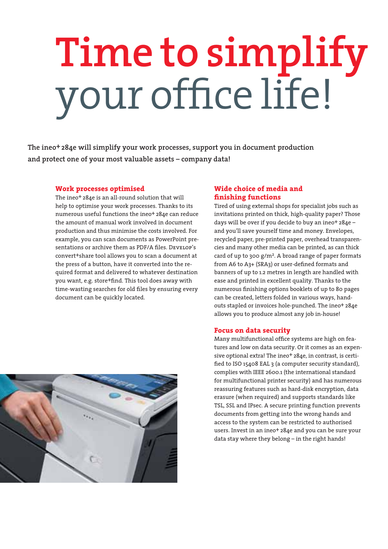# **Time to simplify**  your office life!

**The ineo+ 284e will simplify your work processes, support you in document production and protect one of your most valuable assets – company data!**

#### **Work processes optimised**

The ineo<sup>+</sup> 284e is an all-round solution that will help to optimise your work processes. Thanks to its numerous useful functions the ineo+ 284e can reduce the amount of manual work involved in document production and thus minimise the costs involved. For example, you can scan documents as PowerPoint presentations or archive them as PDF/A files. DEVELOP's convert+share tool allows you to scan a document at the press of a button, have it converted into the required format and delivered to whatever destination you want, e.g. store+find. This tool does away with time-wasting searches for old files by ensuring every document can be quickly located.

#### **Wide choice of media and finishing functions**

Tired of using external shops for specialist jobs such as invitations printed on thick, high-quality paper? Those days will be over if you decide to buy an ineo+ 284e – and you'll save yourself time and money. Envelopes, recycled paper, pre-printed paper, overhead transparencies and many other media can be printed, as can thick card of up to 300 g/ $m^2$ . A broad range of paper formats from A6 to A3+ (SRA3) or user-defined formats and banners of up to 1.2 metres in length are handled with ease and printed in excellent quality. Thanks to the numerous finishing options booklets of up to 80 pages can be created, letters folded in various ways, handouts stapled or invoices hole-punched. The ineo+ 284e allows you to produce almost any job in-house!

#### **Focus on data security**

Many multifunctional office systems are high on features and low on data security. Or it comes as an expensive optional extra! The ineo+ 284e, in contrast, is certified to ISO 15408 EAL 3 (a computer security standard), complies with IEEE 2600.1 (the international standard for multifunctional printer security) and has numerous reassuring features such as hard-disk encryption, data erasure (when required) and supports standards like TSL, SSL and IPsec. A secure printing function prevents documents from getting into the wrong hands and access to the system can be restricted to authorised users. Invest in an ineo<sup>+</sup> 284e and you can be sure your data stay where they belong – in the right hands!

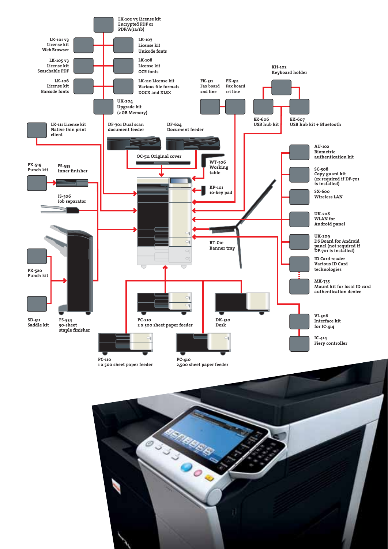